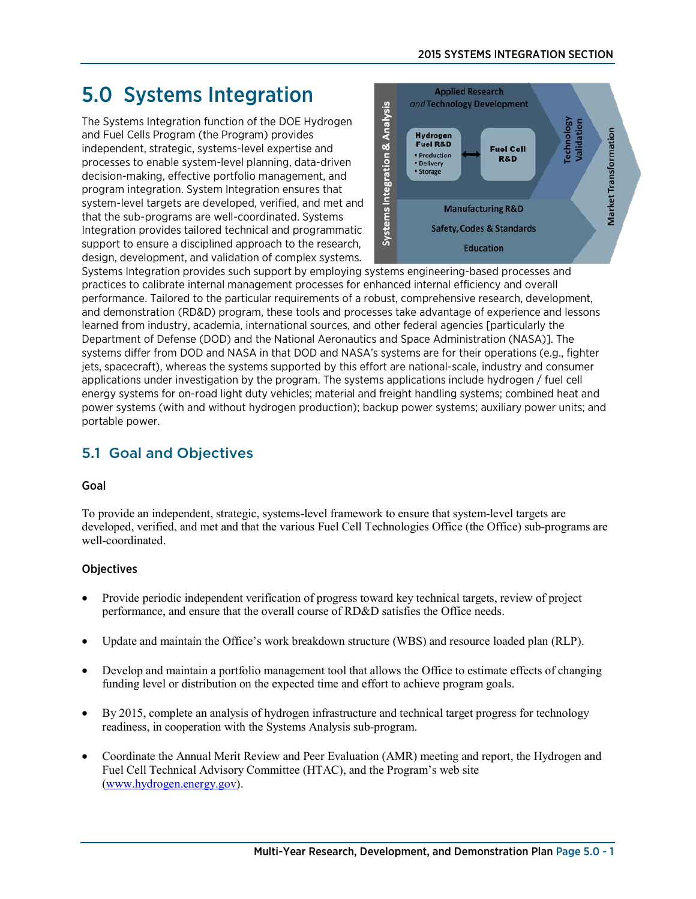# 5.0 Systems Integration

The Systems Integration function of the DOE Hydrogen and Fuel Cells Program (the Program) provides independent, strategic, systems-level expertise and processes to enable system-level planning, data-driven decision-making, effective portfolio management, and program integration. System Integration ensures that system-level targets are developed, verified, and met and that the sub-programs are well-coordinated. Systems Integration provides tailored technical and programmatic support to ensure a disciplined approach to the research, design, development, and validation of complex systems.



Systems Integration provides such support by employing systems engineering-based processes and practices to calibrate internal management processes for enhanced internal efficiency and overall performance. Tailored to the particular requirements of a robust, comprehensive research, development, and demonstration (RD&D) program, these tools and processes take advantage of experience and lessons learned from industry, academia, international sources, and other federal agencies [particularly the Department of Defense (DOD) and the National Aeronautics and Space Administration (NASA)]. The systems differ from DOD and NASA in that DOD and NASA's systems are for their operations (e.g., fighter jets, spacecraft), whereas the systems supported by this effort are national-scale, industry and consumer applications under investigation by the program. The systems applications include hydrogen / fuel cell energy systems for on-road light duty vehicles; material and freight handling systems; combined heat and power systems (with and without hydrogen production); backup power systems; auxiliary power units; and portable power.

# 5.1 Goal and Objectives

# Goal

To provide an independent, strategic, systems-level framework to ensure that system-level targets are developed, verified, and met and that the various Fuel Cell Technologies Office (the Office) sub-programs are well-coordinated.

# **Objectives**

- Provide periodic independent verification of progress toward key technical targets, review of project performance, and ensure that the overall course of RD&D satisfies the Office needs.
- Update and maintain the Office's work breakdown structure (WBS) and resource loaded plan (RLP).
- Develop and maintain a portfolio management tool that allows the Office to estimate effects of changing funding level or distribution on the expected time and effort to achieve program goals.
- By 2015, complete an analysis of hydrogen infrastructure and technical target progress for technology readiness, in cooperation with the Systems Analysis sub-program.
- Coordinate the Annual Merit Review and Peer Evaluation (AMR) meeting and report, the Hydrogen and Fuel Cell Technical Advisory Committee (HTAC), and the Program's web site [\(www.hydrogen.energy.gov\)](http://www.hydrogen.energy.gov/).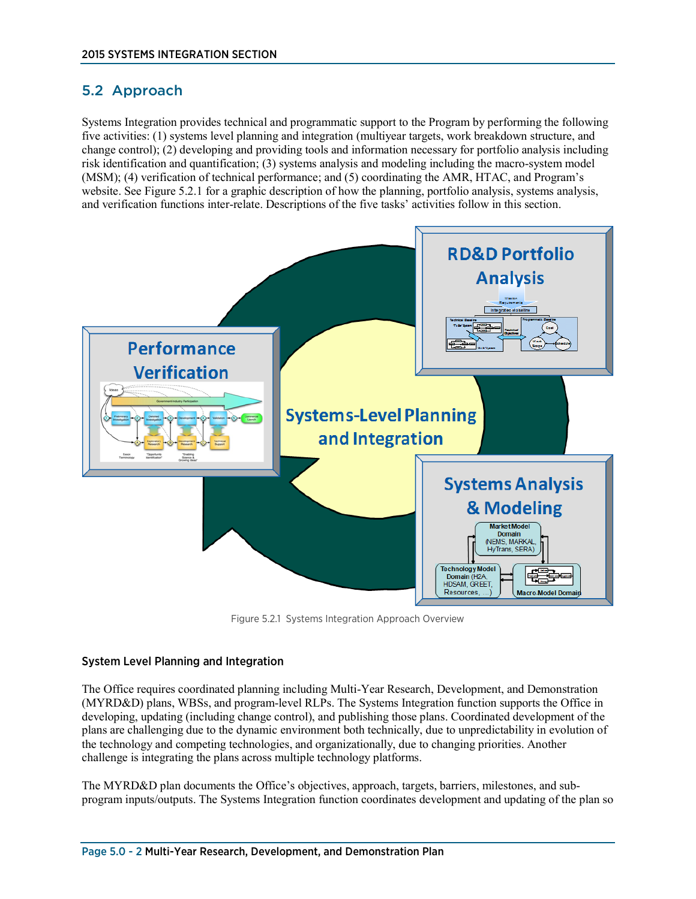# 5.2 Approach

Systems Integration provides technical and programmatic support to the Program by performing the following five activities: (1) systems level planning and integration (multiyear targets, work breakdown structure, and change control); (2) developing and providing tools and information necessary for portfolio analysis including risk identification and quantification; (3) systems analysis and modeling including the macro-system model (MSM); (4) verification of technical performance; and (5) coordinating the AMR, HTAC, and Program's website. See Figure 5.2.1 for a graphic description of how the planning, portfolio analysis, systems analysis, and verification functions inter-relate. Descriptions of the five tasks' activities follow in this section.



Figure 5.2.1 Systems Integration Approach Overview

#### System Level Planning and Integration

The Office requires coordinated planning including Multi-Year Research, Development, and Demonstration (MYRD&D) plans, WBSs, and program-level RLPs. The Systems Integration function supports the Office in developing, updating (including change control), and publishing those plans. Coordinated development of the plans are challenging due to the dynamic environment both technically, due to unpredictability in evolution of the technology and competing technologies, and organizationally, due to changing priorities. Another challenge is integrating the plans across multiple technology platforms.

The MYRD&D plan documents the Office's objectives, approach, targets, barriers, milestones, and subprogram inputs/outputs. The Systems Integration function coordinates development and updating of the plan so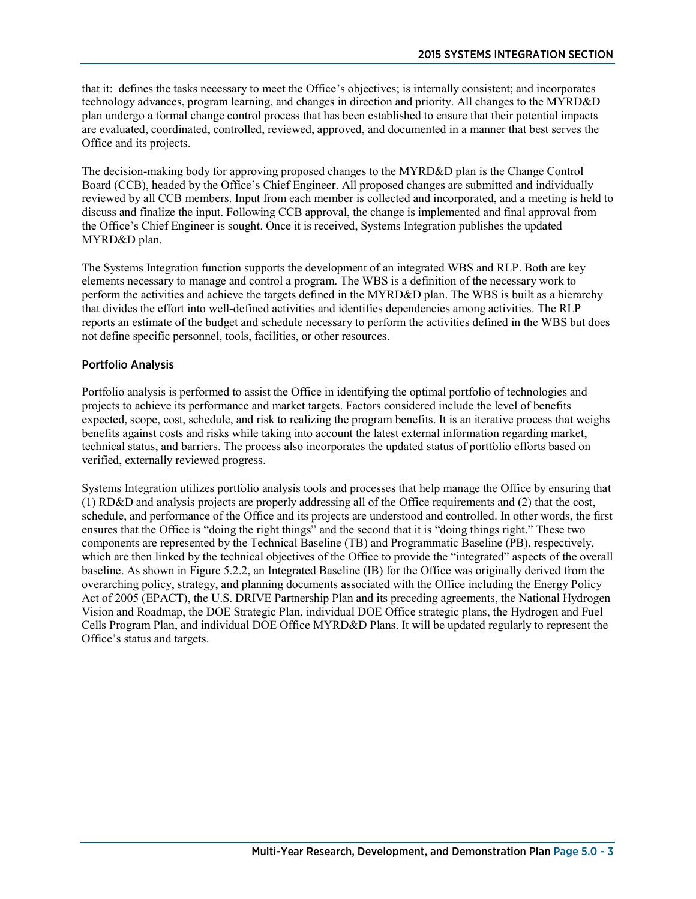that it: defines the tasks necessary to meet the Office's objectives; is internally consistent; and incorporates technology advances, program learning, and changes in direction and priority. All changes to the MYRD&D plan undergo a formal change control process that has been established to ensure that their potential impacts are evaluated, coordinated, controlled, reviewed, approved, and documented in a manner that best serves the Office and its projects.

The decision-making body for approving proposed changes to the MYRD&D plan is the Change Control Board (CCB), headed by the Office's Chief Engineer. All proposed changes are submitted and individually reviewed by all CCB members. Input from each member is collected and incorporated, and a meeting is held to discuss and finalize the input. Following CCB approval, the change is implemented and final approval from the Office's Chief Engineer is sought. Once it is received, Systems Integration publishes the updated MYRD&D plan.

The Systems Integration function supports the development of an integrated WBS and RLP. Both are key elements necessary to manage and control a program. The WBS is a definition of the necessary work to perform the activities and achieve the targets defined in the MYRD&D plan. The WBS is built as a hierarchy that divides the effort into well-defined activities and identifies dependencies among activities. The RLP reports an estimate of the budget and schedule necessary to perform the activities defined in the WBS but does not define specific personnel, tools, facilities, or other resources.

### Portfolio Analysis

Portfolio analysis is performed to assist the Office in identifying the optimal portfolio of technologies and projects to achieve its performance and market targets. Factors considered include the level of benefits expected, scope, cost, schedule, and risk to realizing the program benefits. It is an iterative process that weighs benefits against costs and risks while taking into account the latest external information regarding market, technical status, and barriers. The process also incorporates the updated status of portfolio efforts based on verified, externally reviewed progress.

Systems Integration utilizes portfolio analysis tools and processes that help manage the Office by ensuring that (1) RD&D and analysis projects are properly addressing all of the Office requirements and (2) that the cost, schedule, and performance of the Office and its projects are understood and controlled. In other words, the first ensures that the Office is "doing the right things" and the second that it is "doing things right." These two components are represented by the Technical Baseline (TB) and Programmatic Baseline (PB), respectively, which are then linked by the technical objectives of the Office to provide the "integrated" aspects of the overall baseline. As shown in Figure 5.2.2, an Integrated Baseline (IB) for the Office was originally derived from the overarching policy, strategy, and planning documents associated with the Office including the Energy Policy Act of 2005 (EPACT), the U.S. DRIVE Partnership Plan and its preceding agreements, the National Hydrogen Vision and Roadmap, the DOE Strategic Plan, individual DOE Office strategic plans, the Hydrogen and Fuel Cells Program Plan, and individual DOE Office MYRD&D Plans. It will be updated regularly to represent the Office's status and targets.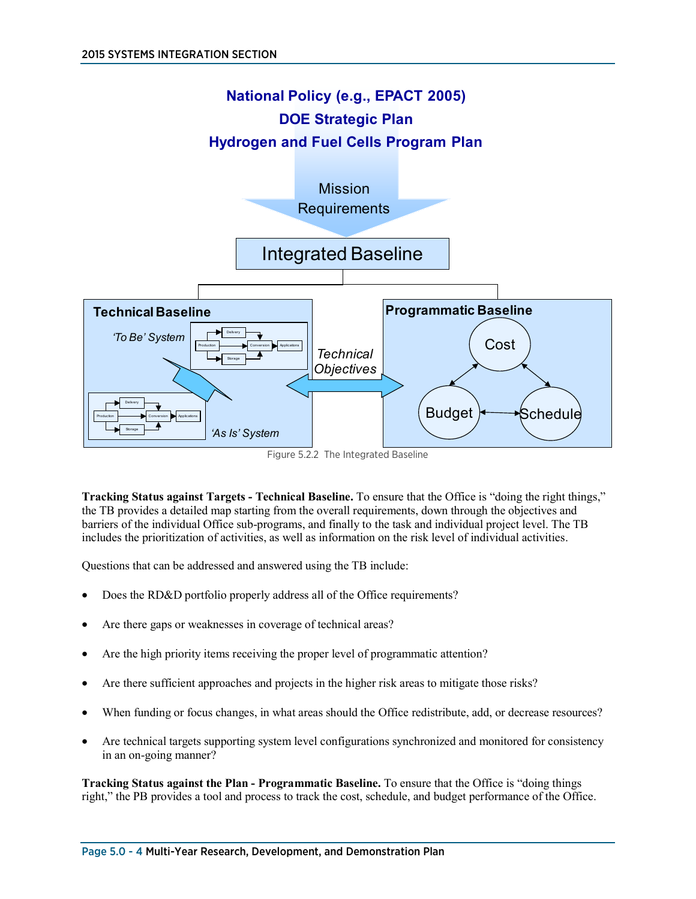

Figure 5.2.2 The Integrated Baseline

**Tracking Status against Targets - Technical Baseline.** To ensure that the Office is "doing the right things," the TB provides a detailed map starting from the overall requirements, down through the objectives and barriers of the individual Office sub-programs, and finally to the task and individual project level. The TB includes the prioritization of activities, as well as information on the risk level of individual activities.

Questions that can be addressed and answered using the TB include:

- Does the RD&D portfolio properly address all of the Office requirements?
- Are there gaps or weaknesses in coverage of technical areas?
- Are the high priority items receiving the proper level of programmatic attention?
- Are there sufficient approaches and projects in the higher risk areas to mitigate those risks?
- When funding or focus changes, in what areas should the Office redistribute, add, or decrease resources?
- Are technical targets supporting system level configurations synchronized and monitored for consistency in an on-going manner?

**Tracking Status against the Plan - Programmatic Baseline.** To ensure that the Office is "doing things right," the PB provides a tool and process to track the cost, schedule, and budget performance of the Office.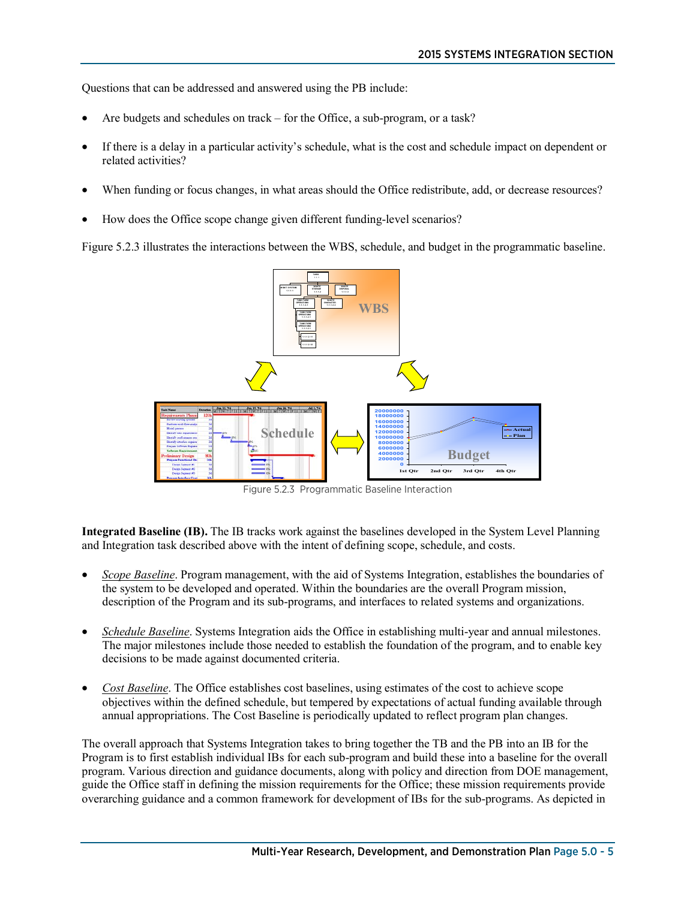Questions that can be addressed and answered using the PB include:

- Are budgets and schedules on track for the Office, a sub-program, or a task?
- If there is a delay in a particular activity's schedule, what is the cost and schedule impact on dependent or related activities?
- When funding or focus changes, in what areas should the Office redistribute, add, or decrease resources?
- How does the Office scope change given different funding-level scenarios?

Figure 5.2.3 illustrates the interactions between the WBS, schedule, and budget in the programmatic baseline.



Figure 5.2.3 Programmatic Baseline Interaction

**Integrated Baseline (IB).** The IB tracks work against the baselines developed in the System Level Planning and Integration task described above with the intent of defining scope, schedule, and costs.

- *Scope Baseline*. Program management, with the aid of Systems Integration, establishes the boundaries of the system to be developed and operated. Within the boundaries are the overall Program mission, description of the Program and its sub-programs, and interfaces to related systems and organizations.
- *Schedule Baseline*. Systems Integration aids the Office in establishing multi-year and annual milestones. The major milestones include those needed to establish the foundation of the program, and to enable key decisions to be made against documented criteria.
- *Cost Baseline*. The Office establishes cost baselines, using estimates of the cost to achieve scope objectives within the defined schedule, but tempered by expectations of actual funding available through annual appropriations. The Cost Baseline is periodically updated to reflect program plan changes.

The overall approach that Systems Integration takes to bring together the TB and the PB into an IB for the Program is to first establish individual IBs for each sub-program and build these into a baseline for the overall program. Various direction and guidance documents, along with policy and direction from DOE management, guide the Office staff in defining the mission requirements for the Office; these mission requirements provide overarching guidance and a common framework for development of IBs for the sub-programs. As depicted in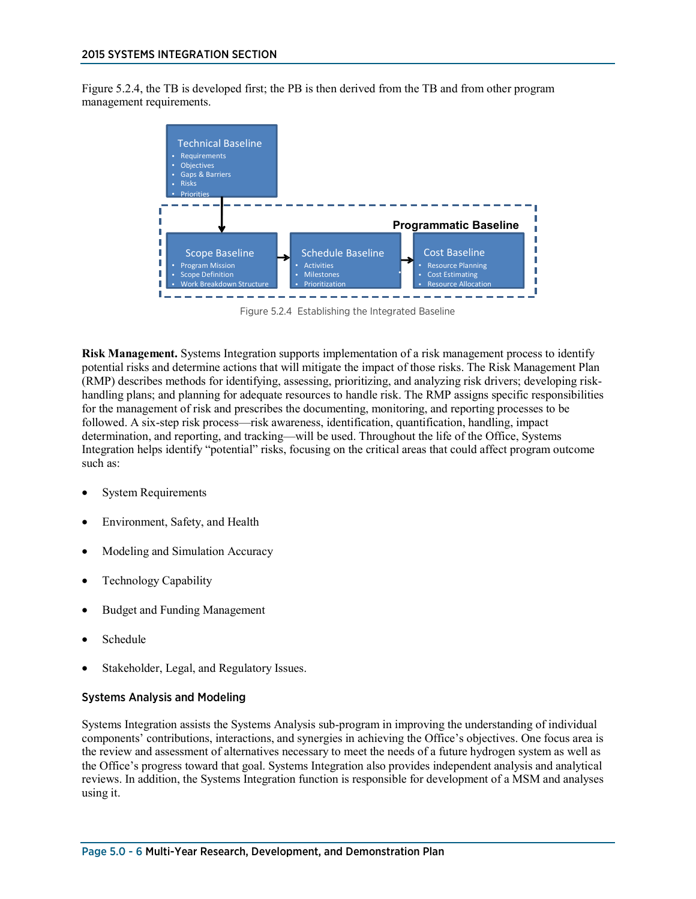Figure 5.2.4, the TB is developed first; the PB is then derived from the TB and from other program management requirements.



Figure 5.2.4 Establishing the Integrated Baseline

**Risk Management.** Systems Integration supports implementation of a risk management process to identify potential risks and determine actions that will mitigate the impact of those risks. The Risk Management Plan (RMP) describes methods for identifying, assessing, prioritizing, and analyzing risk drivers; developing riskhandling plans; and planning for adequate resources to handle risk. The RMP assigns specific responsibilities for the management of risk and prescribes the documenting, monitoring, and reporting processes to be followed. A six-step risk process—risk awareness, identification, quantification, handling, impact determination, and reporting, and tracking—will be used. Throughout the life of the Office, Systems Integration helps identify "potential" risks, focusing on the critical areas that could affect program outcome such as:

- System Requirements
- Environment, Safety, and Health
- Modeling and Simulation Accuracy
- Technology Capability
- Budget and Funding Management
- Schedule
- Stakeholder, Legal, and Regulatory Issues.

#### Systems Analysis and Modeling

Systems Integration assists the Systems Analysis sub-program in improving the understanding of individual components' contributions, interactions, and synergies in achieving the Office's objectives. One focus area is the review and assessment of alternatives necessary to meet the needs of a future hydrogen system as well as the Office's progress toward that goal. Systems Integration also provides independent analysis and analytical reviews. In addition, the Systems Integration function is responsible for development of a MSM and analyses using it.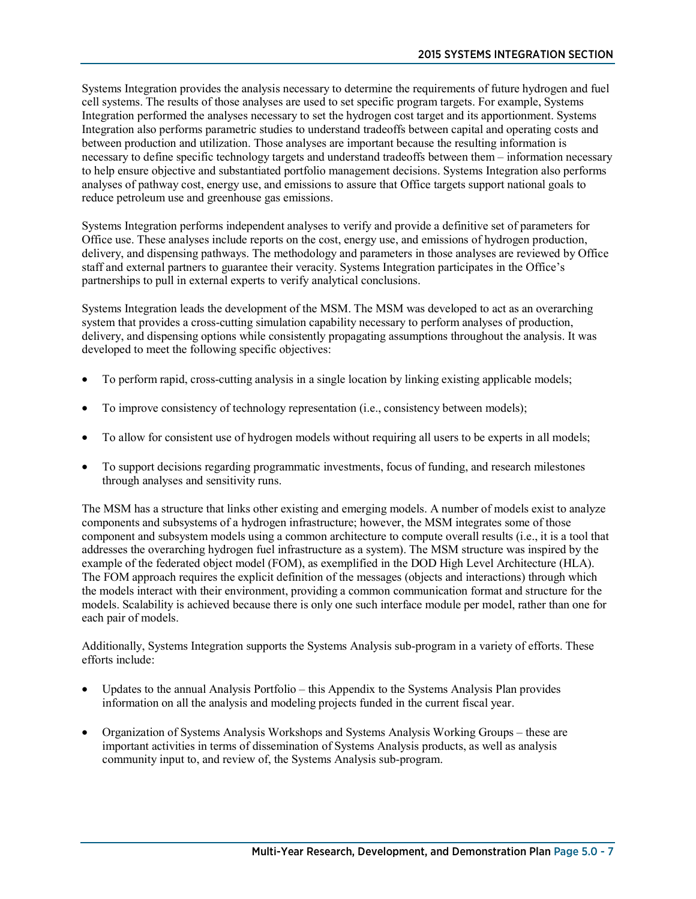Systems Integration provides the analysis necessary to determine the requirements of future hydrogen and fuel cell systems. The results of those analyses are used to set specific program targets. For example, Systems Integration performed the analyses necessary to set the hydrogen cost target and its apportionment. Systems Integration also performs parametric studies to understand tradeoffs between capital and operating costs and between production and utilization. Those analyses are important because the resulting information is necessary to define specific technology targets and understand tradeoffs between them – information necessary to help ensure objective and substantiated portfolio management decisions. Systems Integration also performs analyses of pathway cost, energy use, and emissions to assure that Office targets support national goals to reduce petroleum use and greenhouse gas emissions.

Systems Integration performs independent analyses to verify and provide a definitive set of parameters for Office use. These analyses include reports on the cost, energy use, and emissions of hydrogen production, delivery, and dispensing pathways. The methodology and parameters in those analyses are reviewed by Office staff and external partners to guarantee their veracity. Systems Integration participates in the Office's partnerships to pull in external experts to verify analytical conclusions.

Systems Integration leads the development of the MSM. The MSM was developed to act as an overarching system that provides a cross-cutting simulation capability necessary to perform analyses of production, delivery, and dispensing options while consistently propagating assumptions throughout the analysis. It was developed to meet the following specific objectives:

- To perform rapid, cross-cutting analysis in a single location by linking existing applicable models;
- To improve consistency of technology representation (i.e., consistency between models);
- To allow for consistent use of hydrogen models without requiring all users to be experts in all models;
- To support decisions regarding programmatic investments, focus of funding, and research milestones through analyses and sensitivity runs.

The MSM has a structure that links other existing and emerging models. A number of models exist to analyze components and subsystems of a hydrogen infrastructure; however, the MSM integrates some of those component and subsystem models using a common architecture to compute overall results (i.e., it is a tool that addresses the overarching hydrogen fuel infrastructure as a system). The MSM structure was inspired by the example of the federated object model (FOM), as exemplified in the DOD High Level Architecture (HLA). The FOM approach requires the explicit definition of the messages (objects and interactions) through which the models interact with their environment, providing a common communication format and structure for the models. Scalability is achieved because there is only one such interface module per model, rather than one for each pair of models.

Additionally, Systems Integration supports the Systems Analysis sub-program in a variety of efforts. These efforts include:

- Updates to the annual Analysis Portfolio this Appendix to the Systems Analysis Plan provides information on all the analysis and modeling projects funded in the current fiscal year.
- Organization of Systems Analysis Workshops and Systems Analysis Working Groups these are important activities in terms of dissemination of Systems Analysis products, as well as analysis community input to, and review of, the Systems Analysis sub-program.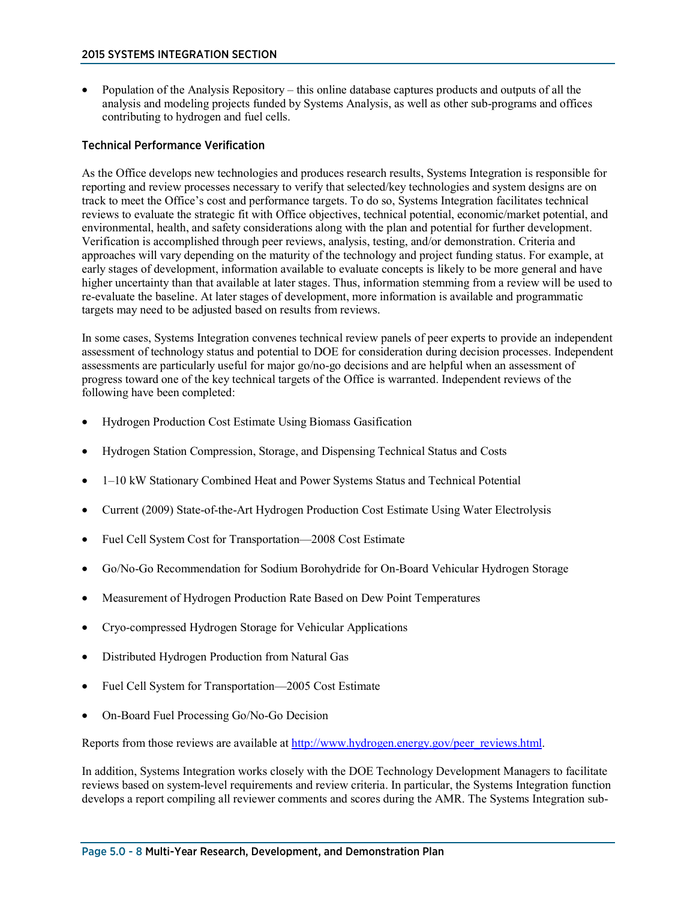• Population of the Analysis Repository – this online database captures products and outputs of all the analysis and modeling projects funded by Systems Analysis, as well as other sub-programs and offices contributing to hydrogen and fuel cells.

#### Technical Performance Verification

As the Office develops new technologies and produces research results, Systems Integration is responsible for reporting and review processes necessary to verify that selected/key technologies and system designs are on track to meet the Office's cost and performance targets. To do so, Systems Integration facilitates technical reviews to evaluate the strategic fit with Office objectives, technical potential, economic/market potential, and environmental, health, and safety considerations along with the plan and potential for further development. Verification is accomplished through peer reviews, analysis, testing, and/or demonstration. Criteria and approaches will vary depending on the maturity of the technology and project funding status. For example, at early stages of development, information available to evaluate concepts is likely to be more general and have higher uncertainty than that available at later stages. Thus, information stemming from a review will be used to re-evaluate the baseline. At later stages of development, more information is available and programmatic targets may need to be adjusted based on results from reviews.

In some cases, Systems Integration convenes technical review panels of peer experts to provide an independent assessment of technology status and potential to DOE for consideration during decision processes. Independent assessments are particularly useful for major go/no-go decisions and are helpful when an assessment of progress toward one of the key technical targets of the Office is warranted. Independent reviews of the following have been completed:

- Hydrogen Production Cost Estimate Using Biomass Gasification
- Hydrogen Station Compression, Storage, and Dispensing Technical Status and Costs
- 1–10 kW Stationary Combined Heat and Power Systems Status and Technical Potential
- Current (2009) State-of-the-Art Hydrogen Production Cost Estimate Using Water Electrolysis
- Fuel Cell System Cost for Transportation—2008 Cost Estimate
- Go/No-Go Recommendation for Sodium Borohydride for On-Board Vehicular Hydrogen Storage
- Measurement of Hydrogen Production Rate Based on Dew Point Temperatures
- Cryo-compressed Hydrogen Storage for Vehicular Applications
- Distributed Hydrogen Production from Natural Gas
- Fuel Cell System for Transportation—2005 Cost Estimate
- On-Board Fuel Processing Go/No-Go Decision

Reports from those reviews are available a[t http://www.hydrogen.energy.gov/peer\\_reviews.html.](http://www.hydrogen.energy.gov/peer_reviews.html)

In addition, Systems Integration works closely with the DOE Technology Development Managers to facilitate reviews based on system-level requirements and review criteria. In particular, the Systems Integration function develops a report compiling all reviewer comments and scores during the AMR. The Systems Integration sub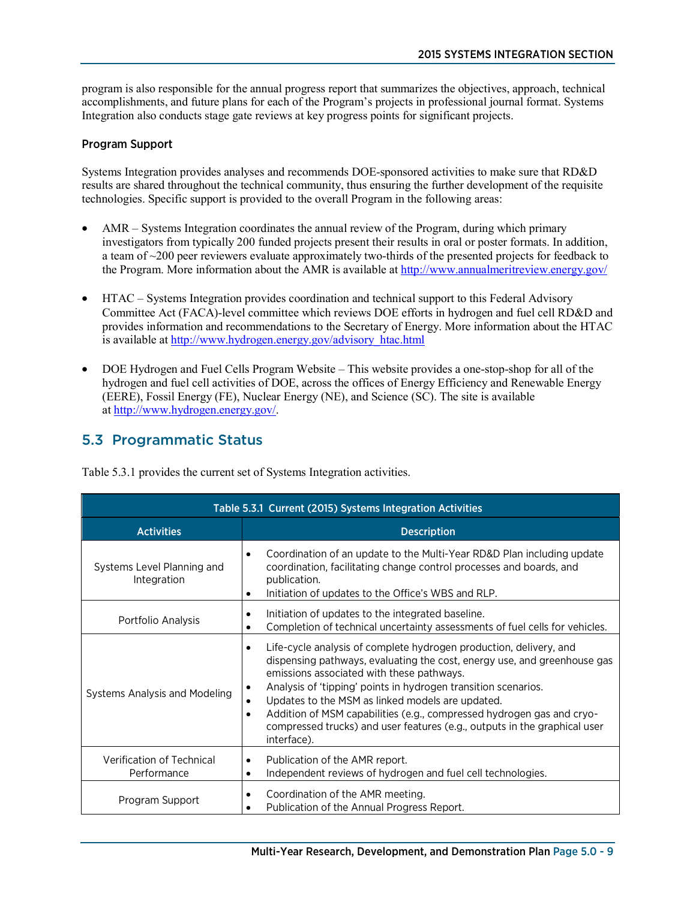program is also responsible for the annual progress report that summarizes the objectives, approach, technical accomplishments, and future plans for each of the Program's projects in professional journal format. Systems Integration also conducts stage gate reviews at key progress points for significant projects.

### Program Support

Systems Integration provides analyses and recommends DOE-sponsored activities to make sure that RD&D results are shared throughout the technical community, thus ensuring the further development of the requisite technologies. Specific support is provided to the overall Program in the following areas:

- AMR Systems Integration coordinates the annual review of the Program, during which primary investigators from typically 200 funded projects present their results in oral or poster formats. In addition, a team of ~200 peer reviewers evaluate approximately two-thirds of the presented projects for feedback to the Program. More information about the AMR is available a[t http://www.annualmeritreview.energy.gov/](http://www.annualmeritreview.energy.gov/)
- HTAC Systems Integration provides coordination and technical support to this Federal Advisory Committee Act (FACA)-level committee which reviews DOE efforts in hydrogen and fuel cell RD&D and provides information and recommendations to the Secretary of Energy. More information about the HTAC is available at [http://www.hydrogen.energy.gov/advisory\\_htac.html](http://www.hydrogen.energy.gov/advisory_htac.html)
- DOE Hydrogen and Fuel Cells Program Website This website provides a one-stop-shop for all of the hydrogen and fuel cell activities of DOE, across the offices of Energy Efficiency and Renewable Energy (EERE), Fossil Energy (FE), Nuclear Energy (NE), and Science (SC). The site is available at [http://www.hydrogen.energy.gov/.](http://www.hydrogen.energy.gov/)

# 5.3 Programmatic Status

| Table 5.3.1 Current (2015) Systems Integration Activities |                                                                                                                                                                                                                                                                                                                                                                                                                                                                                                                                            |  |
|-----------------------------------------------------------|--------------------------------------------------------------------------------------------------------------------------------------------------------------------------------------------------------------------------------------------------------------------------------------------------------------------------------------------------------------------------------------------------------------------------------------------------------------------------------------------------------------------------------------------|--|
| <b>Activities</b>                                         | <b>Description</b>                                                                                                                                                                                                                                                                                                                                                                                                                                                                                                                         |  |
| Systems Level Planning and<br>Integration                 | Coordination of an update to the Multi-Year RD&D Plan including update<br>$\bullet$<br>coordination, facilitating change control processes and boards, and<br>publication.<br>Initiation of updates to the Office's WBS and RLP.<br>$\bullet$                                                                                                                                                                                                                                                                                              |  |
| Portfolio Analysis                                        | Initiation of updates to the integrated baseline.<br>$\bullet$<br>Completion of technical uncertainty assessments of fuel cells for vehicles.<br>$\bullet$                                                                                                                                                                                                                                                                                                                                                                                 |  |
| Systems Analysis and Modeling                             | Life-cycle analysis of complete hydrogen production, delivery, and<br>$\bullet$<br>dispensing pathways, evaluating the cost, energy use, and greenhouse gas<br>emissions associated with these pathways.<br>Analysis of 'tipping' points in hydrogen transition scenarios.<br>$\bullet$<br>Updates to the MSM as linked models are updated.<br>$\bullet$<br>Addition of MSM capabilities (e.g., compressed hydrogen gas and cryo-<br>$\bullet$<br>compressed trucks) and user features (e.g., outputs in the graphical user<br>interface). |  |
| Verification of Technical<br>Performance                  | Publication of the AMR report.<br>$\bullet$<br>Independent reviews of hydrogen and fuel cell technologies.<br>٠                                                                                                                                                                                                                                                                                                                                                                                                                            |  |
| Program Support                                           | Coordination of the AMR meeting.<br>$\bullet$<br>Publication of the Annual Progress Report.                                                                                                                                                                                                                                                                                                                                                                                                                                                |  |

Table 5.3.1 provides the current set of Systems Integration activities.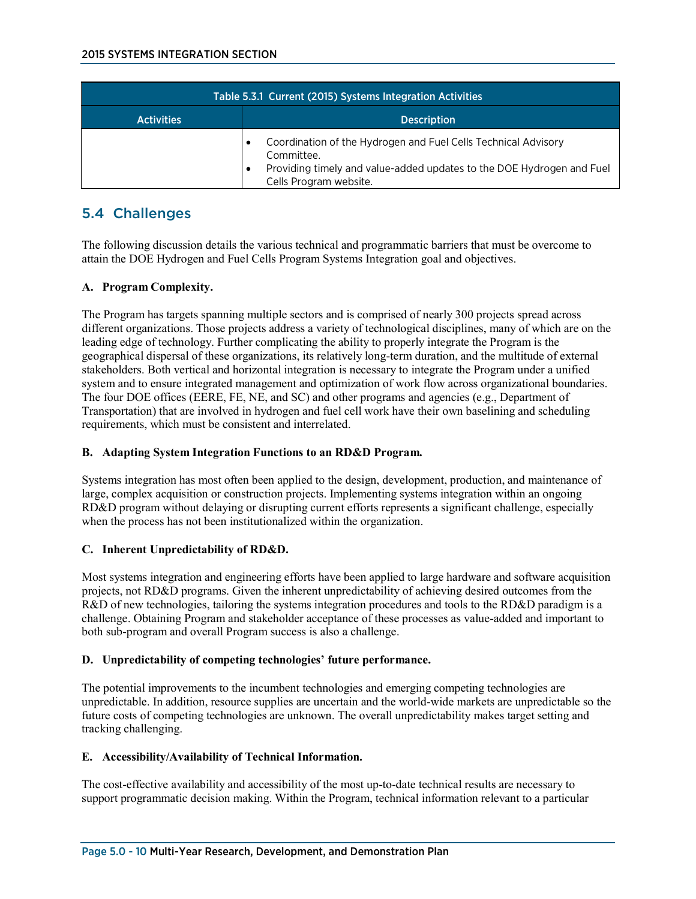| Table 5.3.1 Current (2015) Systems Integration Activities |                                                                                                                                                                                 |
|-----------------------------------------------------------|---------------------------------------------------------------------------------------------------------------------------------------------------------------------------------|
| <b>Activities</b>                                         | <b>Description</b>                                                                                                                                                              |
|                                                           | Coordination of the Hydrogen and Fuel Cells Technical Advisory<br>Committee.<br>Providing timely and value-added updates to the DOE Hydrogen and Fuel<br>Cells Program website. |

# 5.4 Challenges

The following discussion details the various technical and programmatic barriers that must be overcome to attain the DOE Hydrogen and Fuel Cells Program Systems Integration goal and objectives.

## **A. Program Complexity.**

The Program has targets spanning multiple sectors and is comprised of nearly 300 projects spread across different organizations. Those projects address a variety of technological disciplines, many of which are on the leading edge of technology. Further complicating the ability to properly integrate the Program is the geographical dispersal of these organizations, its relatively long-term duration, and the multitude of external stakeholders. Both vertical and horizontal integration is necessary to integrate the Program under a unified system and to ensure integrated management and optimization of work flow across organizational boundaries. The four DOE offices (EERE, FE, NE, and SC) and other programs and agencies (e.g., Department of Transportation) that are involved in hydrogen and fuel cell work have their own baselining and scheduling requirements, which must be consistent and interrelated.

### **B. Adapting System Integration Functions to an RD&D Program.**

Systems integration has most often been applied to the design, development, production, and maintenance of large, complex acquisition or construction projects. Implementing systems integration within an ongoing RD&D program without delaying or disrupting current efforts represents a significant challenge, especially when the process has not been institutionalized within the organization.

### **C. Inherent Unpredictability of RD&D.**

Most systems integration and engineering efforts have been applied to large hardware and software acquisition projects, not RD&D programs. Given the inherent unpredictability of achieving desired outcomes from the R&D of new technologies, tailoring the systems integration procedures and tools to the RD&D paradigm is a challenge. Obtaining Program and stakeholder acceptance of these processes as value-added and important to both sub-program and overall Program success is also a challenge.

### **D. Unpredictability of competing technologies' future performance.**

The potential improvements to the incumbent technologies and emerging competing technologies are unpredictable. In addition, resource supplies are uncertain and the world-wide markets are unpredictable so the future costs of competing technologies are unknown. The overall unpredictability makes target setting and tracking challenging.

### **E. Accessibility/Availability of Technical Information.**

The cost-effective availability and accessibility of the most up-to-date technical results are necessary to support programmatic decision making. Within the Program, technical information relevant to a particular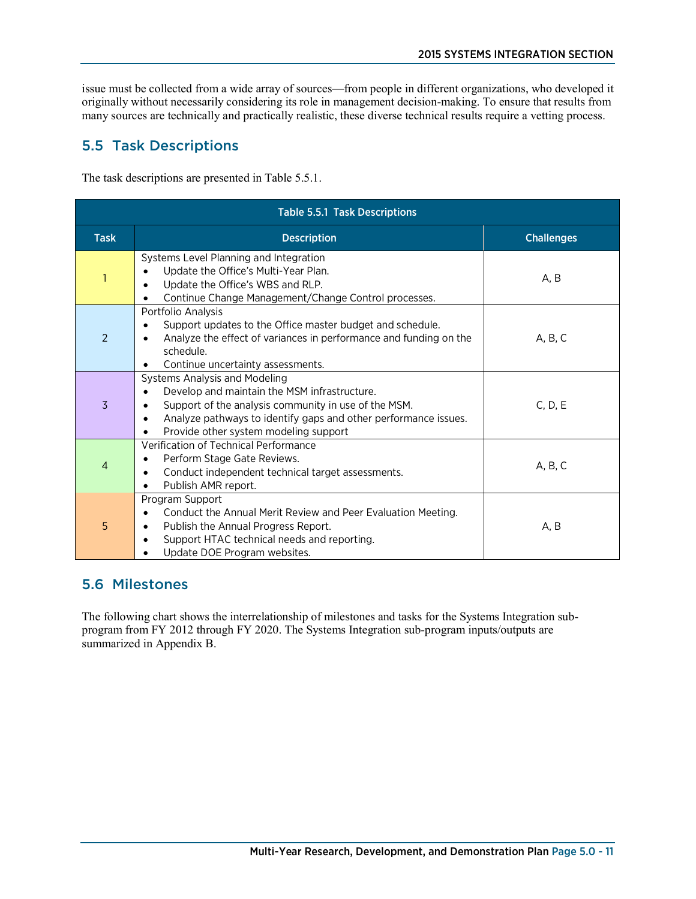issue must be collected from a wide array of sources—from people in different organizations, who developed it originally without necessarily considering its role in management decision-making. To ensure that results from many sources are technically and practically realistic, these diverse technical results require a vetting process.

# 5.5 Task Descriptions

The task descriptions are presented in Table 5.5.1.

| Table 5.5.1 Task Descriptions |                                                                                                                                                                                                                                                                     |                   |
|-------------------------------|---------------------------------------------------------------------------------------------------------------------------------------------------------------------------------------------------------------------------------------------------------------------|-------------------|
| <b>Task</b>                   | <b>Description</b>                                                                                                                                                                                                                                                  | <b>Challenges</b> |
|                               | Systems Level Planning and Integration<br>Update the Office's Multi-Year Plan.<br>Update the Office's WBS and RLP.<br>$\bullet$<br>Continue Change Management/Change Control processes.<br>$\bullet$                                                                | A.B               |
| 2                             | Portfolio Analysis<br>Support updates to the Office master budget and schedule.<br>Analyze the effect of variances in performance and funding on the<br>schedule.<br>Continue uncertainty assessments.                                                              | A, B, C           |
| 3                             | Systems Analysis and Modeling<br>Develop and maintain the MSM infrastructure.<br>Support of the analysis community in use of the MSM.<br>٠<br>Analyze pathways to identify gaps and other performance issues.<br>$\bullet$<br>Provide other system modeling support | C, D, E           |
| 4                             | Verification of Technical Performance<br>Perform Stage Gate Reviews.<br>Conduct independent technical target assessments.<br>$\bullet$<br>Publish AMR report.<br>$\bullet$                                                                                          | A, B, C           |
| 5                             | Program Support<br>Conduct the Annual Merit Review and Peer Evaluation Meeting.<br>Publish the Annual Progress Report.<br>٠<br>Support HTAC technical needs and reporting.<br>$\bullet$<br>Update DOE Program websites.                                             | A, B              |

# 5.6 Milestones

The following chart shows the interrelationship of milestones and tasks for the Systems Integration subprogram from FY 2012 through FY 2020. The Systems Integration sub-program inputs/outputs are summarized in Appendix B.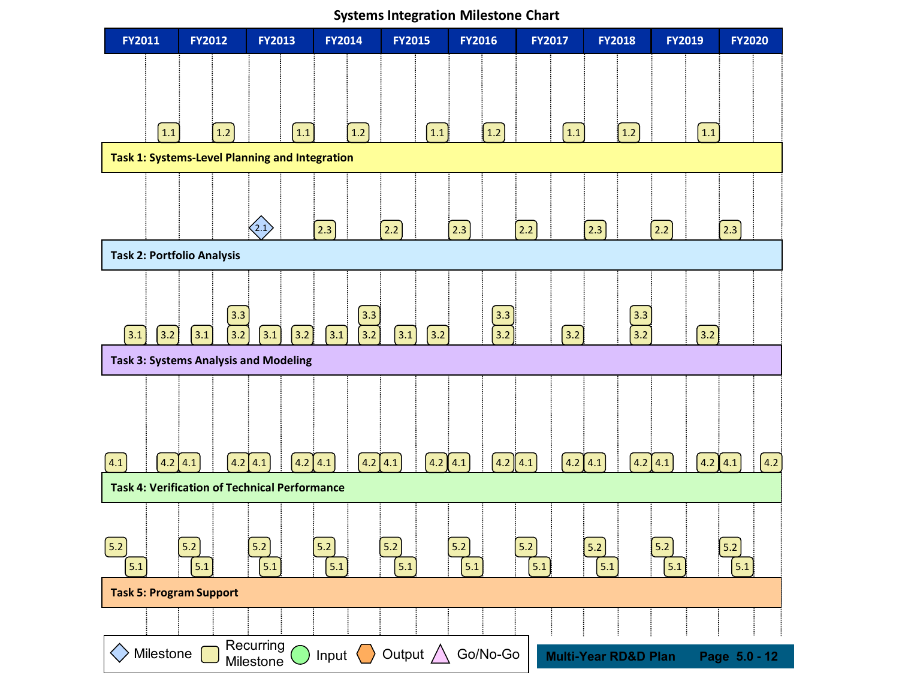

**Systems Integration Milestone Chart**